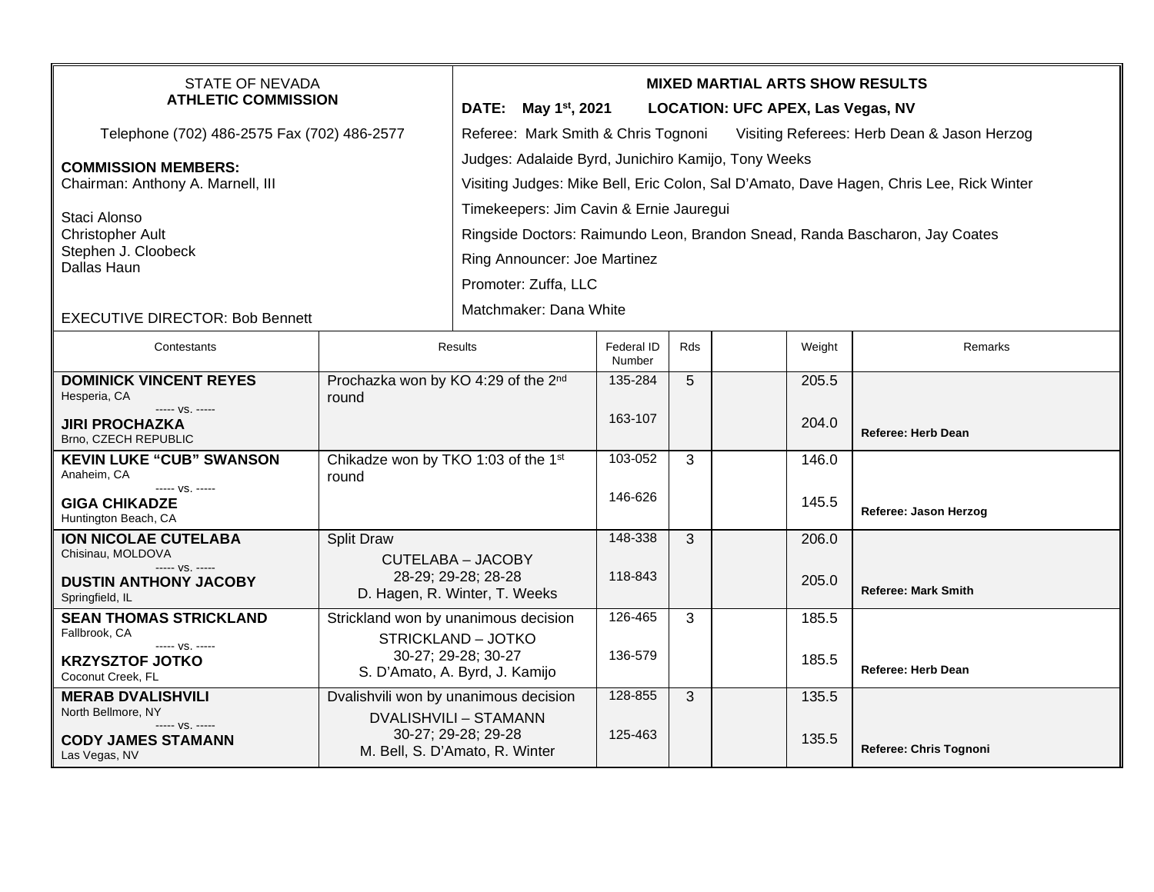| <b>STATE OF NEVADA</b><br><b>ATHLETIC COMMISSION</b><br>Telephone (702) 486-2575 Fax (702) 486-2577<br><b>COMMISSION MEMBERS:</b><br>Chairman: Anthony A. Marnell, III<br>Staci Alonso<br><b>Christopher Ault</b><br>Stephen J. Cloobeck<br>Dallas Haun |                                                                                                                                | <b>MIXED MARTIAL ARTS SHOW RESULTS</b><br>DATE: May 1 <sup>st</sup> , 2021<br><b>LOCATION: UFC APEX, Las Vegas, NV</b><br>Referee: Mark Smith & Chris Tognoni<br>Visiting Referees: Herb Dean & Jason Herzog<br>Judges: Adalaide Byrd, Junichiro Kamijo, Tony Weeks<br>Visiting Judges: Mike Bell, Eric Colon, Sal D'Amato, Dave Hagen, Chris Lee, Rick Winter<br>Timekeepers: Jim Cavin & Ernie Jauregui<br>Ringside Doctors: Raimundo Leon, Brandon Snead, Randa Bascharon, Jay Coates<br>Ring Announcer: Joe Martinez<br>Promoter: Zuffa, LLC |                      |              |                |                            |  |  |
|---------------------------------------------------------------------------------------------------------------------------------------------------------------------------------------------------------------------------------------------------------|--------------------------------------------------------------------------------------------------------------------------------|--------------------------------------------------------------------------------------------------------------------------------------------------------------------------------------------------------------------------------------------------------------------------------------------------------------------------------------------------------------------------------------------------------------------------------------------------------------------------------------------------------------------------------------------------|----------------------|--------------|----------------|----------------------------|--|--|
| <b>EXECUTIVE DIRECTOR: Bob Bennett</b>                                                                                                                                                                                                                  |                                                                                                                                | Matchmaker: Dana White                                                                                                                                                                                                                                                                                                                                                                                                                                                                                                                           |                      |              |                |                            |  |  |
| Contestants                                                                                                                                                                                                                                             | Results                                                                                                                        |                                                                                                                                                                                                                                                                                                                                                                                                                                                                                                                                                  | Federal ID<br>Number | Rds          | Weight         | Remarks                    |  |  |
| <b>DOMINICK VINCENT REYES</b><br>Hesperia, CA<br>----- VS. -----<br><b>JIRI PROCHAZKA</b><br>Brno, CZECH REPUBLIC                                                                                                                                       | Prochazka won by KO 4:29 of the 2nd<br>round                                                                                   |                                                                                                                                                                                                                                                                                                                                                                                                                                                                                                                                                  | 135-284<br>163-107   | 5            | 205.5<br>204.0 | <b>Referee: Herb Dean</b>  |  |  |
| <b>KEVIN LUKE "CUB" SWANSON</b><br>Anaheim, CA<br>----- VS. -----<br><b>GIGA CHIKADZE</b><br>Huntington Beach, CA                                                                                                                                       | Chikadze won by TKO 1:03 of the 1st<br>round                                                                                   |                                                                                                                                                                                                                                                                                                                                                                                                                                                                                                                                                  | 103-052<br>146-626   | $\mathbf{3}$ | 146.0<br>145.5 | Referee: Jason Herzog      |  |  |
| <b>ION NICOLAE CUTELABA</b><br>Chisinau, MOLDOVA<br>$--- VS. ---$<br><b>DUSTIN ANTHONY JACOBY</b><br>Springfield, IL                                                                                                                                    | <b>Split Draw</b><br><b>CUTELABA - JACOBY</b><br>28-29; 29-28; 28-28<br>D. Hagen, R. Winter, T. Weeks                          |                                                                                                                                                                                                                                                                                                                                                                                                                                                                                                                                                  | 148-338<br>118-843   | 3            | 206.0<br>205.0 | <b>Referee: Mark Smith</b> |  |  |
| <b>SEAN THOMAS STRICKLAND</b><br>Fallbrook, CA<br>$--- VS. ---$<br><b>KRZYSZTOF JOTKO</b><br>Coconut Creek, FL                                                                                                                                          | Strickland won by unanimous decision<br><b>STRICKLAND - JOTKO</b><br>30-27; 29-28; 30-27<br>S. D'Amato, A. Byrd, J. Kamijo     |                                                                                                                                                                                                                                                                                                                                                                                                                                                                                                                                                  | 126-465<br>136-579   | 3            | 185.5<br>185.5 | <b>Referee: Herb Dean</b>  |  |  |
| <b>MERAB DVALISHVILI</b><br>North Bellmore, NY<br>----- VS. -----<br><b>CODY JAMES STAMANN</b><br>Las Vegas, NV                                                                                                                                         | Dvalishvili won by unanimous decision<br><b>DVALISHVILI - STAMANN</b><br>30-27; 29-28; 29-28<br>M. Bell, S. D'Amato, R. Winter |                                                                                                                                                                                                                                                                                                                                                                                                                                                                                                                                                  | 128-855<br>125-463   | $\mathbf{3}$ | 135.5<br>135.5 | Referee: Chris Tognoni     |  |  |